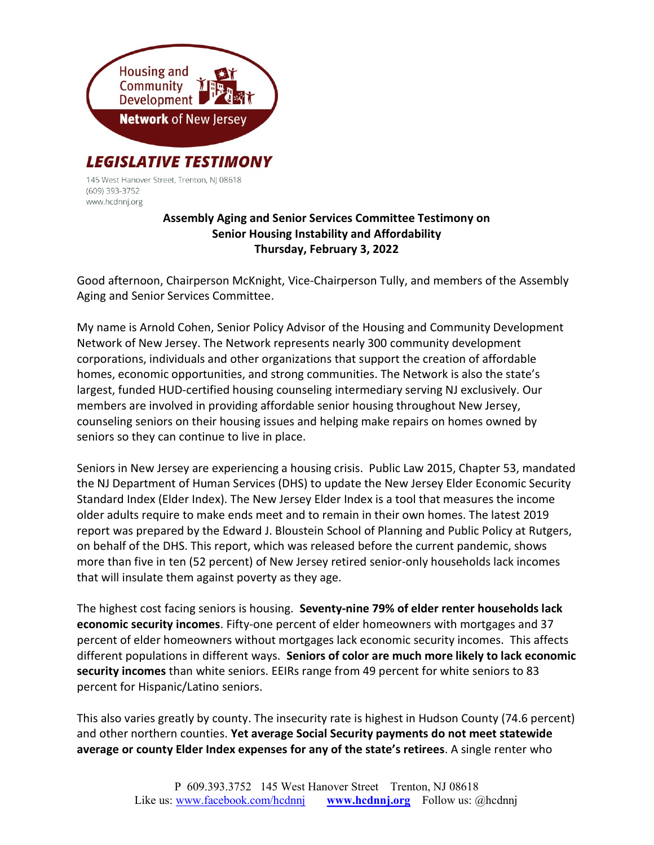

145 West Hanover Street, Trenton, NJ 08618 (609) 393-3752 www.hcdnnj.org

## Assembly Aging and Senior Services Committee Testimony on Senior Housing Instability and Affordability Thursday, February 3, 2022

Good afternoon, Chairperson McKnight, Vice-Chairperson Tully, and members of the Assembly Aging and Senior Services Committee.

My name is Arnold Cohen, Senior Policy Advisor of the Housing and Community Development Network of New Jersey. The Network represents nearly 300 community development corporations, individuals and other organizations that support the creation of affordable homes, economic opportunities, and strong communities. The Network is also the state's largest, funded HUD-certified housing counseling intermediary serving NJ exclusively. Our members are involved in providing affordable senior housing throughout New Jersey, counseling seniors on their housing issues and helping make repairs on homes owned by seniors so they can continue to live in place.

Seniors in New Jersey are experiencing a housing crisis. Public Law 2015, Chapter 53, mandated the NJ Department of Human Services (DHS) to update the New Jersey Elder Economic Security Standard Index (Elder Index). The New Jersey Elder Index is a tool that measures the income older adults require to make ends meet and to remain in their own homes. The latest 2019 report was prepared by the Edward J. Bloustein School of Planning and Public Policy at Rutgers, on behalf of the DHS. This report, which was released before the current pandemic, shows more than five in ten (52 percent) of New Jersey retired senior-only households lack incomes that will insulate them against poverty as they age.

The highest cost facing seniors is housing. Seventy-nine 79% of elder renter households lack economic security incomes. Fifty-one percent of elder homeowners with mortgages and 37 percent of elder homeowners without mortgages lack economic security incomes. This affects different populations in different ways. Seniors of color are much more likely to lack economic security incomes than white seniors. EEIRs range from 49 percent for white seniors to 83 percent for Hispanic/Latino seniors.

This also varies greatly by county. The insecurity rate is highest in Hudson County (74.6 percent) and other northern counties. Yet average Social Security payments do not meet statewide average or county Elder Index expenses for any of the state's retirees. A single renter who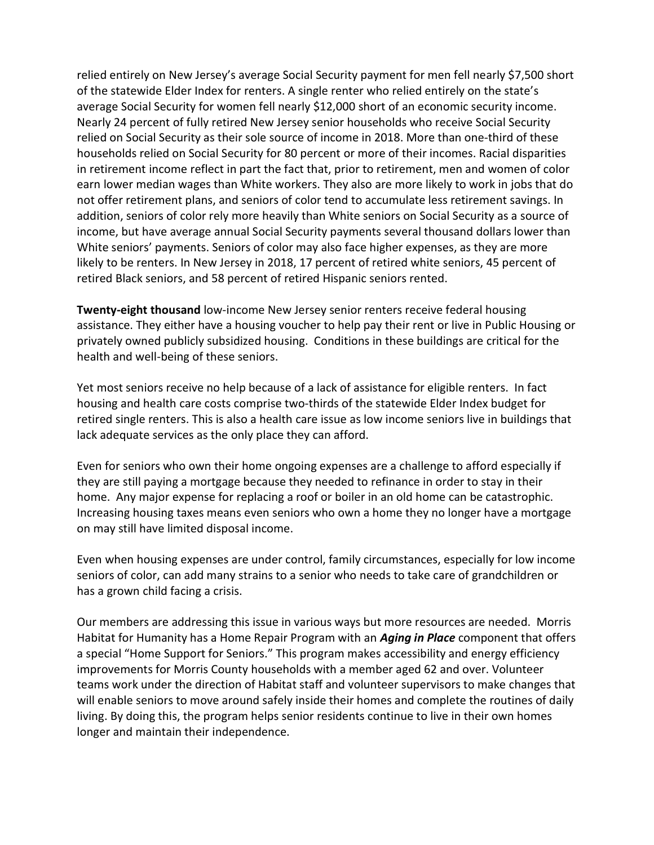relied entirely on New Jersey's average Social Security payment for men fell nearly \$7,500 short of the statewide Elder Index for renters. A single renter who relied entirely on the state's average Social Security for women fell nearly \$12,000 short of an economic security income. Nearly 24 percent of fully retired New Jersey senior households who receive Social Security relied on Social Security as their sole source of income in 2018. More than one-third of these households relied on Social Security for 80 percent or more of their incomes. Racial disparities in retirement income reflect in part the fact that, prior to retirement, men and women of color earn lower median wages than White workers. They also are more likely to work in jobs that do not offer retirement plans, and seniors of color tend to accumulate less retirement savings. In addition, seniors of color rely more heavily than White seniors on Social Security as a source of income, but have average annual Social Security payments several thousand dollars lower than White seniors' payments. Seniors of color may also face higher expenses, as they are more likely to be renters. In New Jersey in 2018, 17 percent of retired white seniors, 45 percent of retired Black seniors, and 58 percent of retired Hispanic seniors rented.

Twenty-eight thousand low-income New Jersey senior renters receive federal housing assistance. They either have a housing voucher to help pay their rent or live in Public Housing or privately owned publicly subsidized housing. Conditions in these buildings are critical for the health and well-being of these seniors.

Yet most seniors receive no help because of a lack of assistance for eligible renters. In fact housing and health care costs comprise two-thirds of the statewide Elder Index budget for retired single renters. This is also a health care issue as low income seniors live in buildings that lack adequate services as the only place they can afford.

Even for seniors who own their home ongoing expenses are a challenge to afford especially if they are still paying a mortgage because they needed to refinance in order to stay in their home. Any major expense for replacing a roof or boiler in an old home can be catastrophic. Increasing housing taxes means even seniors who own a home they no longer have a mortgage on may still have limited disposal income.

Even when housing expenses are under control, family circumstances, especially for low income seniors of color, can add many strains to a senior who needs to take care of grandchildren or has a grown child facing a crisis.

Our members are addressing this issue in various ways but more resources are needed. Morris Habitat for Humanity has a Home Repair Program with an *Aging in Place* component that offers a special "Home Support for Seniors." This program makes accessibility and energy efficiency improvements for Morris County households with a member aged 62 and over. Volunteer teams work under the direction of Habitat staff and volunteer supervisors to make changes that will enable seniors to move around safely inside their homes and complete the routines of daily living. By doing this, the program helps senior residents continue to live in their own homes longer and maintain their independence.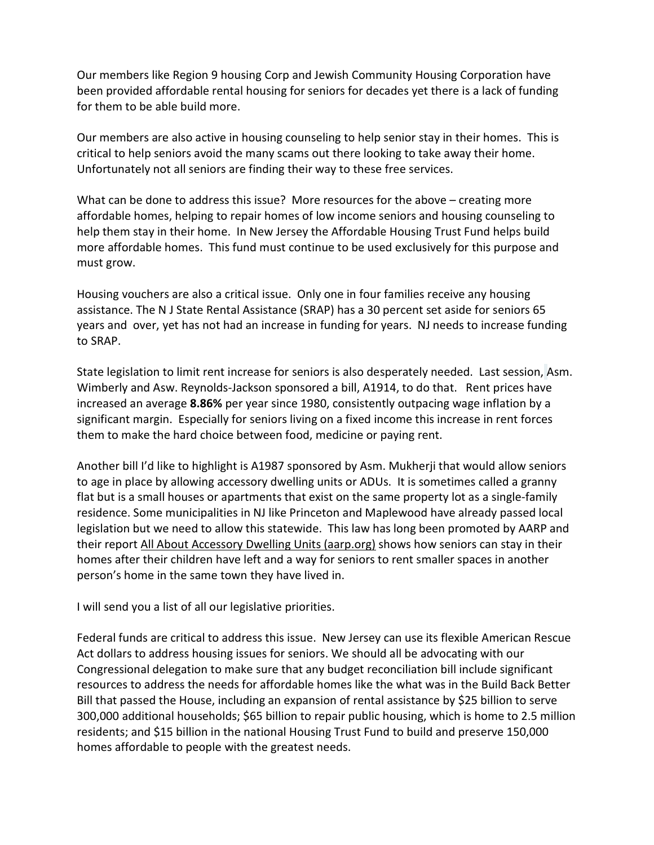Our members like Region 9 housing Corp and Jewish Community Housing Corporation have been provided affordable rental housing for seniors for decades yet there is a lack of funding for them to be able build more.

Our members are also active in housing counseling to help senior stay in their homes. This is critical to help seniors avoid the many scams out there looking to take away their home. Unfortunately not all seniors are finding their way to these free services.

What can be done to address this issue? More resources for the above – creating more affordable homes, helping to repair homes of low income seniors and housing counseling to help them stay in their home. In New Jersey the Affordable Housing Trust Fund helps build more affordable homes. This fund must continue to be used exclusively for this purpose and must grow.

Housing vouchers are also a critical issue. Only one in four families receive any housing assistance. The N J State Rental Assistance (SRAP) has a 30 percent set aside for seniors 65 years and over, yet has not had an increase in funding for years. NJ needs to increase funding to SRAP.

State legislation to limit rent increase for seniors is also desperately needed. Last session, Asm. Wimberly and Asw. Reynolds-Jackson sponsored a bill, A1914, to do that. Rent prices have increased an average 8.86% per year since 1980, consistently outpacing wage inflation by a significant margin. Especially for seniors living on a fixed income this increase in rent forces them to make the hard choice between food, medicine or paying rent.

Another bill I'd like to highlight is A1987 sponsored by Asm. Mukherji that would allow seniors to age in place by allowing accessory dwelling units or ADUs. It is sometimes called a granny flat but is a small houses or apartments that exist on the same property lot as a single-family residence. Some municipalities in NJ like Princeton and Maplewood have already passed local legislation but we need to allow this statewide. This law has long been promoted by AARP and their report All About Accessory Dwelling Units (aarp.org) shows how seniors can stay in their homes after their children have left and a way for seniors to rent smaller spaces in another person's home in the same town they have lived in.

I will send you a list of all our legislative priorities.

Federal funds are critical to address this issue. New Jersey can use its flexible American Rescue Act dollars to address housing issues for seniors. We should all be advocating with our Congressional delegation to make sure that any budget reconciliation bill include significant resources to address the needs for affordable homes like the what was in the Build Back Better Bill that passed the House, including an expansion of rental assistance by \$25 billion to serve 300,000 additional households; \$65 billion to repair public housing, which is home to 2.5 million residents; and \$15 billion in the national Housing Trust Fund to build and preserve 150,000 homes affordable to people with the greatest needs.